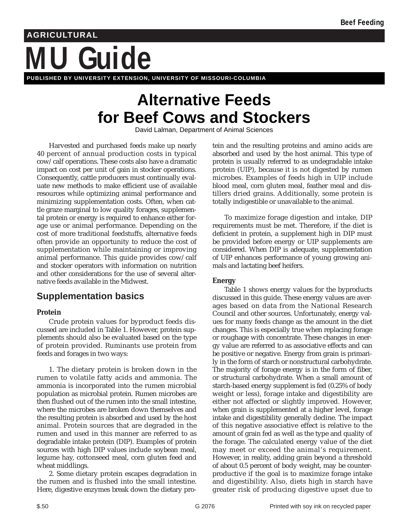# **MU Guide AGRICULTURAL PUBLISHED BY UNIVERSITY EXTENSION, UNIVERSITY OF MISSOURI-COLUMBIA**

# **Alternative Feeds for Beef Cows and Stockers**

David Lalman, Department of Animal Sciences

Harvested and purchased feeds make up nearly 40 percent of annual production costs in typical cow/calf operations. These costs also have a dramatic impact on cost per unit of gain in stocker operations. Consequently, cattle producers must continually evaluate new methods to make efficient use of available resources while optimizing animal performance and minimizing supplementation costs. Often, when cattle graze marginal to low quality forages, supplemental protein or energy is required to enhance either forage use or animal performance. Depending on the cost of more traditional feedstuffs, alternative feeds often provide an opportunity to reduce the cost of supplementation while maintaining or improving animal performance. This guide provides cow/calf and stocker operators with information on nutrition and other considerations for the use of several alternative feeds available in the Midwest.

# **Supplementation basics**

#### **Protein**

Crude protein values for byproduct feeds discussed are included in Table 1. However, protein supplements should also be evaluated based on the type of protein provided. Ruminants use protein from feeds and forages in two ways:

1. The dietary protein is broken down in the rumen to volatile fatty acids and ammonia. The ammonia is incorporated into the rumen microbial population as microbial protein. Rumen microbes are then flushed out of the rumen into the small intestine, where the microbes are broken down themselves and the resulting protein is absorbed and used by the host animal. Protein sources that are degraded in the rumen and used in this manner are referred to as degradable intake protein (DIP). Examples of protein sources with high DIP values include soybean meal, legume hay, cottonseed meal, corn gluten feed and wheat middlings.

2. Some dietary protein escapes degradation in the rumen and is flushed into the small intestine. Here, digestive enzymes break down the dietary protein and the resulting proteins and amino acids are absorbed and used by the host animal. This type of protein is usually referred to as undegradable intake protein (UIP), because it is not digested by rumen microbes. Examples of feeds high in UIP include blood meal, corn gluten meal, feather meal and distillers dried grains. Additionally, some protein is totally indigestible or unavailable to the animal.

To maximize forage digestion and intake, DIP requirements must be met. Therefore, if the diet is deficient in protein, a supplement high in DIP must be provided before energy or UIP supplements are considered. When DIP is adequate, supplementation of UIP enhances performance of young growing animals and lactating beef heifers.

#### **Energy**

Table 1 shows energy values for the byproducts discussed in this guide. These energy values are averages based on data from the National Research Council and other sources. Unfortunately, energy values for many feeds change as the amount in the diet changes. This is especially true when replacing forage or roughage with concentrate. These changes in energy value are referred to as associative effects and can be positive or negative. Energy from grain is primarily in the form of starch or nonstructural carbohydrate. The majority of forage energy is in the form of fiber, or structural carbohydrate. When a small amount of starch-based energy supplement is fed (0.25% of body weight or less), forage intake and digestibility are either not affected or slightly improved. However, when grain is supplemented at a higher level, forage intake and digestibility generally decline. The impact of this negative associative effect is relative to the amount of grain fed as well as the type and quality of the forage. The calculated energy value of the diet may meet or exceed the animal's requirement. However, in reality, adding grain beyond a threshold of about 0.5 percent of body weight, may be counterproductive if the goal is to maximize forage intake and digestibility. Also, diets high in starch have greater risk of producing digestive upset due to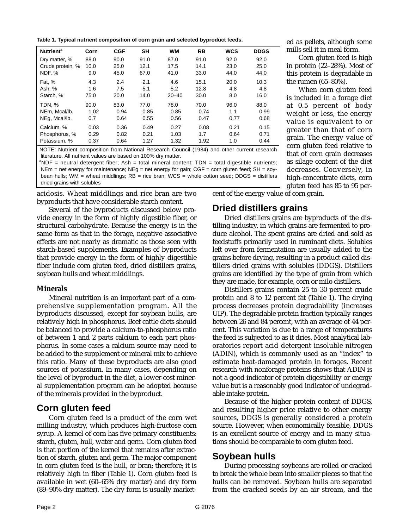**Table 1. Typical nutrient composition of corn grain and selected byproduct feeds.**

| Corn | <b>CGF</b> | <b>SH</b> | <b>WM</b> | <b>RB</b> | <b>WCS</b> | <b>DDGS</b> |
|------|------------|-----------|-----------|-----------|------------|-------------|
| 88.0 | 90.0       | 91.0      | 87.0      | 91.0      | 92.0       | 92.0        |
| 10.0 | 25.0       | 12.1      | 17.5      | 14.1      | 23.0       | 25.0        |
| 9.0  | 45.0       | 67.0      | 41.0      | 33.0      | 44.0       | 44.0        |
| 4.3  | 2.4        | 2.1       | 4.6       | 15.1      | 20.0       | 10.3        |
| 1.6  | 7.5        | 5.1       | 5.2       | 12.8      | 4.8        | 4.8         |
| 75.0 | 20.0       | 14.0      | $20 - 40$ | 30.0      | 8.0        | 16.0        |
| 90.0 | 83.0       | 77.0      | 78.0      | 70.0      | 96.0       | 88.0        |
| 1.02 | 0.94       | 0.85      | 0.85      | 0.74      | 1.1        | 0.99        |
| 0.7  | 0.64       | 0.55      | 0.56      | 0.47      | 0.77       | 0.68        |
| 0.03 | 0.36       | 0.49      | 0.27      | 0.08      | 0.21       | 0.15        |
| 0.29 | 0.82       | 0.21      | 1.03      | 1.7       | 0.64       | 0.71        |
| 0.37 | 0.64       | 1.27      | 1.32      | 1.92      | 1.0        | 0.44        |
|      |            |           |           |           |            |             |

NOTE: Nutrient composition from National Research Council (1984) and other current research literature. All nutrient values are based on 100% dry matter.

 ${}^{a}$ NDF = neutral detergent fiber; Ash = total mineral content; TDN = total digestible nutrients;  $NEm$  = net energy for maintenance;  $NEq$  = net energy for gain;  $CGF$  = corn gluten feed;  $SH$  = soybean hulls; WM = wheat middlings; RB = rice bran; WCS = whole cotton seed; DDGS = distillers dried grains with solubles

acidosis. Wheat middlings and rice bran are two byproducts that have considerable starch content.

Several of the byproducts discussed below provide energy in the form of highly digestible fiber, or structural carbohydrate. Because the energy is in the same form as that in the forage, negative associative effects are not nearly as dramatic as those seen with starch-based supplements. Examples of byproducts that provide energy in the form of highly digestible fiber include corn gluten feed, dried distillers grains, soybean hulls and wheat middlings.

#### **Minerals**

Mineral nutrition is an important part of a comprehensive supplementation program. All the byproducts discussed, except for soybean hulls, are relatively high in phosphorus. Beef cattle diets should be balanced to provide a calcium-to-phosphorus ratio of between 1 and 2 parts calcium to each part phosphorus. In some cases a calcium source may need to be added to the supplement or mineral mix to achieve this ratio. Many of these byproducts are also good sources of potassium. In many cases, depending on the level of byproduct in the diet, a lower-cost mineral supplementation program can be adopted because of the minerals provided in the byproduct.

### **Corn gluten feed**

Corn gluten feed is a product of the corn wet milling industry, which produces high-fructose corn syrup. A kernel of corn has five primary constituents: starch, gluten, hull, water and germ. Corn gluten feed is that portion of the kernel that remains after extraction of starch, gluten and germ. The major component in corn gluten feed is the hull, or bran; therefore; it is relatively high in fiber (Table 1). Corn gluten feed is available in wet (60–65% dry matter) and dry form (89–90% dry matter). The dry form is usually marketed as pellets, although some mills sell it in meal form.

Corn gluten feed is high in protein (22–28%). Most of this protein is degradable in the rumen (65–80%).

When corn gluten feed is included in a forage diet at 0.5 percent of body weight or less, the energy value is equivalent to or greater than that of corn grain. The energy value of corn gluten feed relative to that of corn grain decreases as silage content of the diet decreases. Conversely, in high-concentrate diets, corn gluten feed has 85 to 95 per-

cent of the energy value of corn grain.

# **Dried distillers grains**

Dried distillers grains are byproducts of the distilling industry, in which grains are fermented to produce alcohol. The spent grains are dried and sold as feedstuffs primarily used in ruminant diets. Solubles left over from fermentation are usually added to the grains before drying, resulting in a product called distillers dried grains with solubles (DDGS). Distillers grains are identified by the type of grain from which they are made, for example, corn or milo distillers.

Distillers grains contain 25 to 30 percent crude protein and 8 to 12 percent fat (Table 1). The drying process decreases protein degradability (increases UIP). The degradable protein fraction typically ranges between 26 and 84 percent, with an average of 44 percent. This variation is due to a range of temperatures the feed is subjected to as it dries. Most analytical laboratories report acid detergent insoluble nitrogen (ADIN), which is commonly used as an "index" to estimate heat-damaged protein in forages. Recent research with nonforage proteins shows that ADIN is not a good indicator of protein digestibility or energy value but is a reasonably good indicator of undegradable intake protein.

Because of the higher protein content of DDGS, and resulting higher price relative to other energy sources, DDGS is generally considered a protein source. However, when economically feasible, DDGS is an excellent source of energy and in many situations should be comparable to corn gluten feed.

## **Soybean hulls**

During processing soybeans are rolled or cracked to break the whole bean into smaller pieces so that the hulls can be removed. Soybean hulls are separated from the cracked seeds by an air stream, and the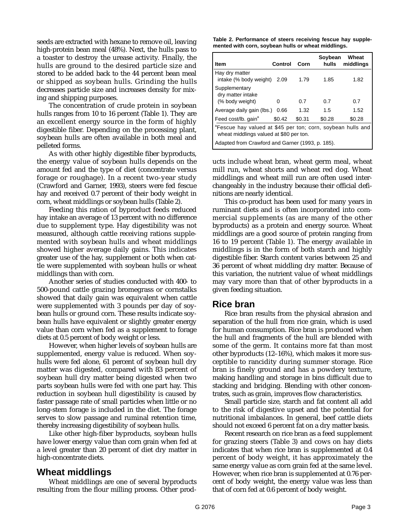seeds are extracted with hexane to remove oil, leaving high-protein bean meal (48%). Next, the hulls pass to a toaster to destroy the urease activity. Finally, the hulls are ground to the desired particle size and stored to be added back to the 44 percent bean meal or shipped as soybean hulls. Grinding the hulls decreases particle size and increases density for mixing and shipping purposes.

The concentration of crude protein in soybean hulls ranges from 10 to 16 percent (Table 1). They are an excellent energy source in the form of highly digestible fiber. Depending on the processing plant, soybean hulls are often available in both meal and pelleted forms.

As with other highly digestible fiber byproducts, the energy value of soybean hulls depends on the amount fed and the type of diet (concentrate versus forage or roughage). In a recent two-year study (Crawford and Garner, 1993), steers were fed fescue hay and received 0.7 percent of their body weight in corn, wheat middlings or soybean hulls (Table 2).

Feeding this ration of byproduct feeds reduced hay intake an average of 13 percent with no difference due to supplement type. Hay digestibility was not measured, although cattle receiving rations supplemented with soybean hulls and wheat middlings showed higher average daily gains. This indicates greater use of the hay, supplement or both when cattle were supplemented with soybean hulls or wheat middlings than with corn.

Another series of studies conducted with 400- to 500-pound cattle grazing bromegrass or cornstalks showed that daily gain was equivalent when cattle were supplemented with 3 pounds per day of soybean hulls or ground corn. These results indicate soybean hulls have equivalent or slightly greater energy value than corn when fed as a supplement to forage diets at 0.5 percent of body weight or less.

However, when higher levels of soybean hulls are supplemented, energy value is reduced. When soyhulls were fed alone, 61 percent of soybean hull dry matter was digested, compared with 83 percent of soybean hull dry matter being digested when two parts soybean hulls were fed with one part hay. This reduction in soybean hull digestibility is caused by faster passage rate of small particles when little or no long-stem forage is included in the diet. The forage serves to slow passage and ruminal retention time, thereby increasing digestibility of soybean hulls.

Like other high-fiber byproducts, soybean hulls have lower energy value than corn grain when fed at a level greater than 20 percent of diet dry matter in high-concentrate diets.

### **Wheat middlings**

Wheat middlings are one of several byproducts resulting from the flour milling process. Other prod-

**Table 2. Performance of steers receiving fescue hay supplemented with corn, soybean hulls or wheat middlings.**

| <b>Item</b>                                                                                                                                                            | Control | Corn   | Soybean<br>hulls | Wheat<br>middlings |  |  |
|------------------------------------------------------------------------------------------------------------------------------------------------------------------------|---------|--------|------------------|--------------------|--|--|
| Hay dry matter<br>intake (% body weight)                                                                                                                               | 2.09    | 1.79   | 1.85             | 1.82               |  |  |
| Supplementary<br>dry matter intake<br>(% body weight)                                                                                                                  | Ω       | 0.7    | 0.7              | 0.7                |  |  |
| Average daily gain (lbs.)                                                                                                                                              | 0.66    | 1.32   | 1.5              | 1.52               |  |  |
| Feed cost/lb. gain <sup>a</sup>                                                                                                                                        | \$0.42  | \$0.31 | \$0.28           | \$0.28             |  |  |
| <sup>a</sup> Fescue hay valued at \$45 per ton; corn, soybean hulls and<br>wheat middlings valued at \$80 per ton.<br>Adapted from Crawford and Garner (1993, p. 185). |         |        |                  |                    |  |  |

ucts include wheat bran, wheat germ meal, wheat mill run, wheat shorts and wheat red dog. Wheat middlings and wheat mill run are often used interchangeably in the industry because their official definitions are nearly identical.

This co-product has been used for many years in ruminant diets and is often incorporated into commercial supplements (as are many of the other byproducts) as a protein and energy source. Wheat middlings are a good source of protein ranging from 16 to 19 percent (Table 1). The energy available in middlings is in the form of both starch and highly digestible fiber. Starch content varies between 25 and 36 percent of wheat middling dry matter. Because of this variation, the nutrient value of wheat middlings may vary more than that of other byproducts in a given feeding situation.

### **Rice bran**

Rice bran results from the physical abrasion and separation of the hull from rice grain, which is used for human consumption. Rice bran is produced when the hull and fragments of the hull are blended with some of the germ. It contains more fat than most other byproducts (12–16%), which makes it more susceptible to rancidity during summer storage. Rice bran is finely ground and has a powdery texture, making handling and storage in bins difficult due to stacking and bridging. Blending with other concentrates, such as grain, improves flow characteristics.

Small particle size, starch and fat content all add to the risk of digestive upset and the potential for nutritional imbalances. In general, beef cattle diets should not exceed 6 percent fat on a dry matter basis.

Recent research on rice bran as a feed supplement for grazing steers (Table 3) and cows on hay diets indicates that when rice bran is supplemented at 0.4 percent of body weight, it has approximately the same energy value as corn grain fed at the same level. However, when rice bran is supplemented at 0.76 percent of body weight, the energy value was less than that of corn fed at 0.6 percent of body weight.